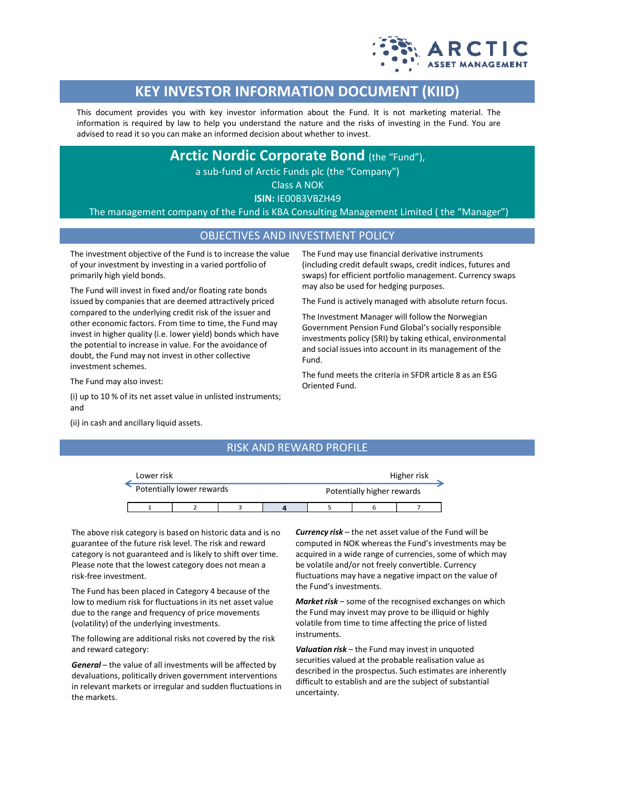

# **KEY INVESTOR INFORMATION DOCUMENT (KIID)**

This document provides you with key investor information about the Fund. It is not marketing material. The information is required by law to help you understand the nature and the risks of investing in the Fund. You are advised to read it so you can make an informed decision about whether to invest.

**Arctic Nordic Corporate Bond** (the "Fund"),

a sub-fund of Arctic Funds plc (the "Company")

Class A NOK

**ISIN:** IE00B3VBZH49

The management company of the Fund is KBA Consulting Management Limited ( the "Manager")

#### OBJECTIVES AND INVESTMENT POLICY

The investment objective of the Fund is to increase the value of your investment by investing in a varied portfolio of primarily high yield bonds.

The Fund will invest in fixed and/or floating rate bonds issued by companies that are deemed attractively priced compared to the underlying credit risk of the issuer and other economic factors. From time to time, the Fund may invest in higher quality (i.e. lower yield) bonds which have the potential to increase in value. For the avoidance of doubt, the Fund may not invest in other collective investment schemes.

The Fund may also invest:

(i) up to 10 % of its net asset value in unlisted instruments; and

(ii) in cash and ancillary liquid assets.

The Fund may use financial derivative instruments (including credit default swaps, credit indices, futures and swaps) for efficient portfolio management. Currency swaps may also be used for hedging purposes.

The Fund is actively managed with absolute return focus.

The Investment Manager will follow the Norwegian Government Pension Fund Global's socially responsible investments policy (SRI) by taking ethical, environmental and social issues into account in its management of the Fund.

The fund meets the criteria in SFDR article 8 as an ESG Oriented Fund.

## RISK AND REWARD PROFILE



The above risk category is based on historic data and is no guarantee of the future risk level. The risk and reward category is not guaranteed and is likely to shift over time. Please note that the lowest category does not mean a risk-free investment.

The Fund has been placed in Category 4 because of the low to medium risk for fluctuations in its net asset value due to the range and frequency of price movements (volatility) of the underlying investments.

The following are additional risks not covered by the risk and reward category:

*General* – the value of all investments will be affected by devaluations, politically driven government interventions in relevant markets or irregular and sudden fluctuations in the markets.

*Currency risk* – the net asset value of the Fund will be computed in NOK whereas the Fund's investments may be acquired in a wide range of currencies, some of which may be volatile and/or not freely convertible. Currency fluctuations may have a negative impact on the value of the Fund's investments.

*Market risk* – some of the recognised exchanges on which the Fund may invest may prove to be illiquid or highly volatile from time to time affecting the price of listed instruments.

*Valuation risk* – the Fund may invest in unquoted securities valued at the probable realisation value as described in the prospectus. Such estimates are inherently difficult to establish and are the subject of substantial uncertainty.